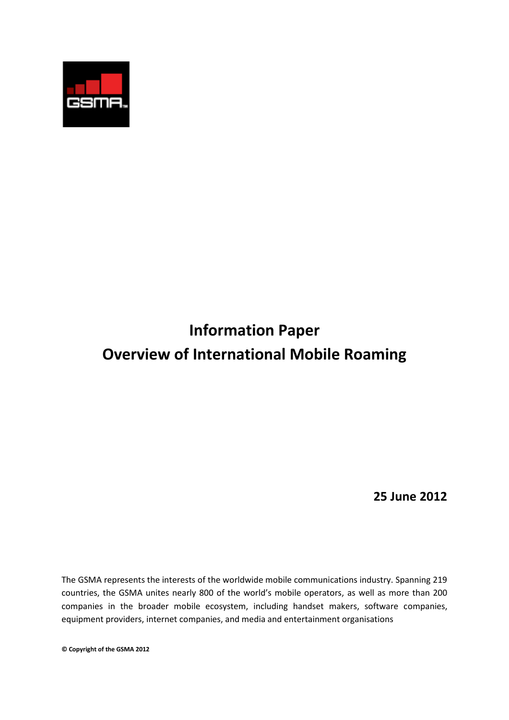

# **Information Paper Overview of International Mobile Roaming**

**25 June 2012**

The GSMA represents the interests of the worldwide mobile communications industry. Spanning 219 countries, the GSMA unites nearly 800 of the world's mobile operators, as well as more than 200 companies in the broader mobile ecosystem, including handset makers, software companies, equipment providers, internet companies, and media and entertainment organisations

**© Copyright of the GSMA 2012**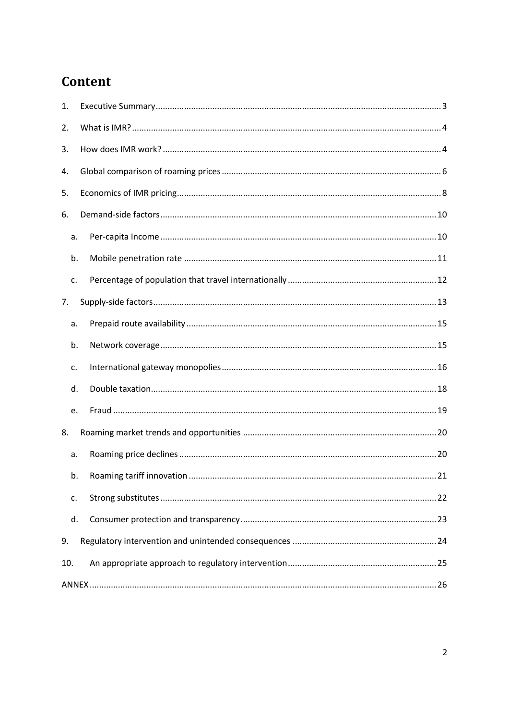## Content

| 1.  |  |  |  |  |  |  |
|-----|--|--|--|--|--|--|
| 2.  |  |  |  |  |  |  |
| 3.  |  |  |  |  |  |  |
| 4.  |  |  |  |  |  |  |
| 5.  |  |  |  |  |  |  |
| 6.  |  |  |  |  |  |  |
| a.  |  |  |  |  |  |  |
| b.  |  |  |  |  |  |  |
| c.  |  |  |  |  |  |  |
| 7.  |  |  |  |  |  |  |
| a.  |  |  |  |  |  |  |
| b.  |  |  |  |  |  |  |
| c.  |  |  |  |  |  |  |
| d.  |  |  |  |  |  |  |
| e.  |  |  |  |  |  |  |
| 8.  |  |  |  |  |  |  |
| a.  |  |  |  |  |  |  |
| b.  |  |  |  |  |  |  |
| c.  |  |  |  |  |  |  |
| d.  |  |  |  |  |  |  |
| 9.  |  |  |  |  |  |  |
| 10. |  |  |  |  |  |  |
|     |  |  |  |  |  |  |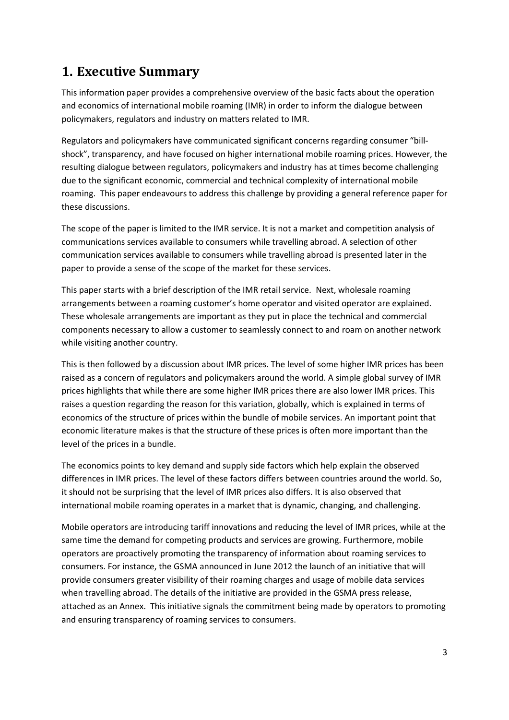## <span id="page-2-0"></span>**1. Executive Summary**

This information paper provides a comprehensive overview of the basic facts about the operation and economics of international mobile roaming (IMR) in order to inform the dialogue between policymakers, regulators and industry on matters related to IMR.

Regulators and policymakers have communicated significant concerns regarding consumer "billshock", transparency, and have focused on higher international mobile roaming prices. However, the resulting dialogue between regulators, policymakers and industry has at times become challenging due to the significant economic, commercial and technical complexity of international mobile roaming. This paper endeavours to address this challenge by providing a general reference paper for these discussions.

The scope of the paper is limited to the IMR service. It is not a market and competition analysis of communications services available to consumers while travelling abroad. A selection of other communication services available to consumers while travelling abroad is presented later in the paper to provide a sense of the scope of the market for these services.

This paper starts with a brief description of the IMR retail service. Next, wholesale roaming arrangements between a roaming customer's home operator and visited operator are explained. These wholesale arrangements are important as they put in place the technical and commercial components necessary to allow a customer to seamlessly connect to and roam on another network while visiting another country.

This is then followed by a discussion about IMR prices. The level of some higher IMR prices has been raised as a concern of regulators and policymakers around the world. A simple global survey of IMR prices highlights that while there are some higher IMR prices there are also lower IMR prices. This raises a question regarding the reason for this variation, globally, which is explained in terms of economics of the structure of prices within the bundle of mobile services. An important point that economic literature makes is that the structure of these prices is often more important than the level of the prices in a bundle.

The economics points to key demand and supply side factors which help explain the observed differences in IMR prices. The level of these factors differs between countries around the world. So, it should not be surprising that the level of IMR prices also differs. It is also observed that international mobile roaming operates in a market that is dynamic, changing, and challenging.

Mobile operators are introducing tariff innovations and reducing the level of IMR prices, while at the same time the demand for competing products and services are growing. Furthermore, mobile operators are proactively promoting the transparency of information about roaming services to consumers. For instance, the GSMA announced in June 2012 the launch of an initiative that will provide consumers greater visibility of their roaming charges and usage of mobile data services when travelling abroad. The details of the initiative are provided in the GSMA press release, attached as an Annex. This initiative signals the commitment being made by operators to promoting and ensuring transparency of roaming services to consumers.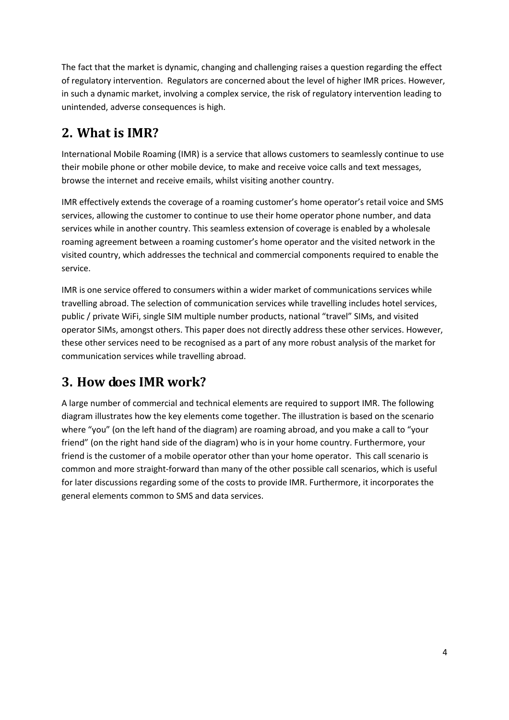The fact that the market is dynamic, changing and challenging raises a question regarding the effect of regulatory intervention. Regulators are concerned about the level of higher IMR prices. However, in such a dynamic market, involving a complex service, the risk of regulatory intervention leading to unintended, adverse consequences is high.

## <span id="page-3-0"></span>**2. What is IMR?**

International Mobile Roaming (IMR) is a service that allows customers to seamlessly continue to use their mobile phone or other mobile device, to make and receive voice calls and text messages, browse the internet and receive emails, whilst visiting another country.

IMR effectively extends the coverage of a roaming customer's home operator's retail voice and SMS services, allowing the customer to continue to use their home operator phone number, and data services while in another country. This seamless extension of coverage is enabled by a wholesale roaming agreement between a roaming customer's home operator and the visited network in the visited country, which addresses the technical and commercial components required to enable the service.

IMR is one service offered to consumers within a wider market of communications services while travelling abroad. The selection of communication services while travelling includes hotel services, public / private WiFi, single SIM multiple number products, national "travel" SIMs, and visited operator SIMs, amongst others. This paper does not directly address these other services. However, these other services need to be recognised as a part of any more robust analysis of the market for communication services while travelling abroad.

## <span id="page-3-1"></span>**3. How does IMR work?**

A large number of commercial and technical elements are required to support IMR. The following diagram illustrates how the key elements come together. The illustration is based on the scenario where "you" (on the left hand of the diagram) are roaming abroad, and you make a call to "your friend" (on the right hand side of the diagram) who is in your home country. Furthermore, your friend is the customer of a mobile operator other than your home operator. This call scenario is common and more straight-forward than many of the other possible call scenarios, which is useful for later discussions regarding some of the costs to provide IMR. Furthermore, it incorporates the general elements common to SMS and data services.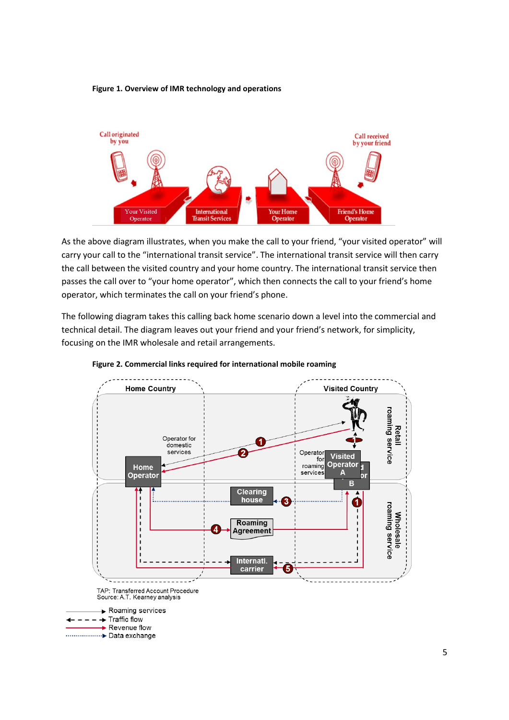#### **Figure 1. Overview of IMR technology and operations**



As the above diagram illustrates, when you make the call to your friend, "your visited operator" will carry your call to the "international transit service". The international transit service will then carry the call between the visited country and your home country. The international transit service then passes the call over to "your home operator", which then connects the call to your friend's home operator, which terminates the call on your friend's phone.

The following diagram takes this calling back home scenario down a level into the commercial and technical detail. The diagram leaves out your friend and your friend's network, for simplicity, focusing on the IMR wholesale and retail arrangements.



**Figure 2. Commercial links required for international mobile roaming**

.................... Data exchange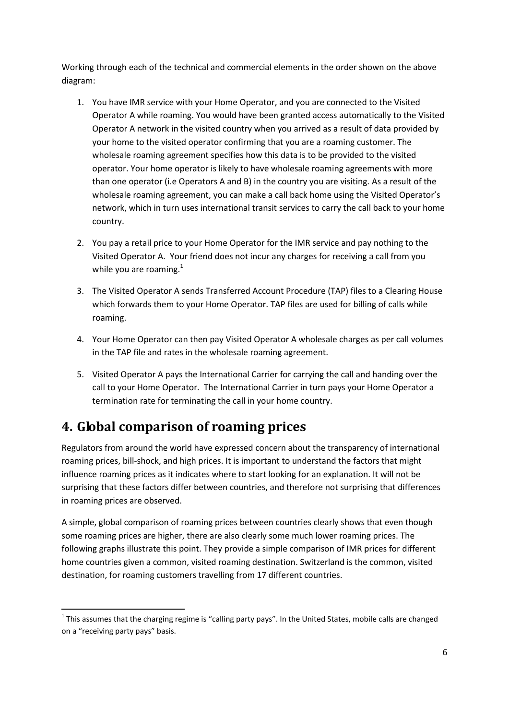Working through each of the technical and commercial elements in the order shown on the above diagram:

- 1. You have IMR service with your Home Operator, and you are connected to the Visited Operator A while roaming. You would have been granted access automatically to the Visited Operator A network in the visited country when you arrived as a result of data provided by your home to the visited operator confirming that you are a roaming customer. The wholesale roaming agreement specifies how this data is to be provided to the visited operator. Your home operator is likely to have wholesale roaming agreements with more than one operator (i.e Operators A and B) in the country you are visiting. As a result of the wholesale roaming agreement, you can make a call back home using the Visited Operator's network, which in turn uses international transit services to carry the call back to your home country.
- 2. You pay a retail price to your Home Operator for the IMR service and pay nothing to the Visited Operator A. Your friend does not incur any charges for receiving a call from you while you are roaming.<sup>1</sup>
- 3. The Visited Operator A sends Transferred Account Procedure (TAP) files to a Clearing House which forwards them to your Home Operator. TAP files are used for billing of calls while roaming.
- 4. Your Home Operator can then pay Visited Operator A wholesale charges as per call volumes in the TAP file and rates in the wholesale roaming agreement.
- 5. Visited Operator A pays the International Carrier for carrying the call and handing over the call to your Home Operator. The International Carrier in turn pays your Home Operator a termination rate for terminating the call in your home country.

## <span id="page-5-0"></span>**4. Global comparison of roaming prices**

Regulators from around the world have expressed concern about the transparency of international roaming prices, bill-shock, and high prices. It is important to understand the factors that might influence roaming prices as it indicates where to start looking for an explanation. It will not be surprising that these factors differ between countries, and therefore not surprising that differences in roaming prices are observed.

A simple, global comparison of roaming prices between countries clearly shows that even though some roaming prices are higher, there are also clearly some much lower roaming prices. The following graphs illustrate this point. They provide a simple comparison of IMR prices for different home countries given a common, visited roaming destination. Switzerland is the common, visited destination, for roaming customers travelling from 17 different countries.

**<sup>.</sup>**  $1$  This assumes that the charging regime is "calling party pays". In the United States, mobile calls are changed on a "receiving party pays" basis.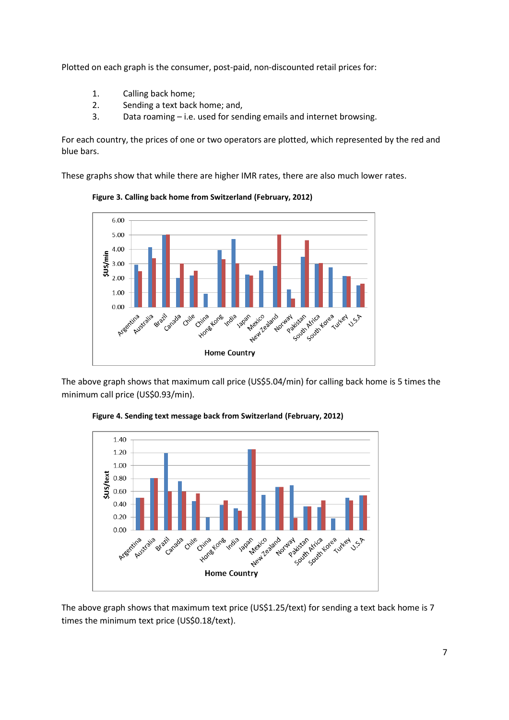Plotted on each graph is the consumer, post-paid, non-discounted retail prices for:

- 1. Calling back home;
- 2. Sending a text back home; and,
- 3. Data roaming i.e. used for sending emails and internet browsing.

For each country, the prices of one or two operators are plotted, which represented by the red and blue bars.

These graphs show that while there are higher IMR rates, there are also much lower rates.



**Figure 3. Calling back home from Switzerland (February, 2012)**

The above graph shows that maximum call price (US\$5.04/min) for calling back home is 5 times the minimum call price (US\$0.93/min).



**Figure 4. Sending text message back from Switzerland (February, 2012)**

The above graph shows that maximum text price (US\$1.25/text) for sending a text back home is 7 times the minimum text price (US\$0.18/text).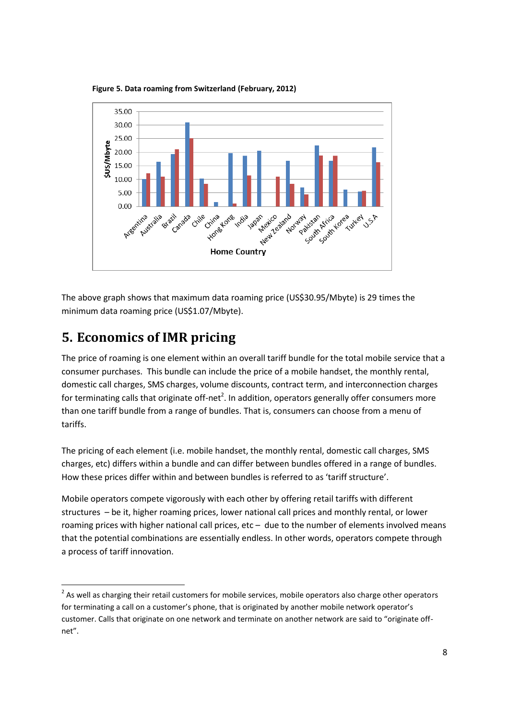

**Figure 5. Data roaming from Switzerland (February, 2012)**

The above graph shows that maximum data roaming price (US\$30.95/Mbyte) is 29 times the minimum data roaming price (US\$1.07/Mbyte).

## <span id="page-7-0"></span>**5. Economics of IMR pricing**

**.** 

The price of roaming is one element within an overall tariff bundle for the total mobile service that a consumer purchases. This bundle can include the price of a mobile handset, the monthly rental, domestic call charges, SMS charges, volume discounts, contract term, and interconnection charges for terminating calls that originate off-net<sup>2</sup>. In addition, operators generally offer consumers more than one tariff bundle from a range of bundles. That is, consumers can choose from a menu of tariffs.

The pricing of each element (i.e. mobile handset, the monthly rental, domestic call charges, SMS charges, etc) differs within a bundle and can differ between bundles offered in a range of bundles. How these prices differ within and between bundles is referred to as 'tariff structure'.

Mobile operators compete vigorously with each other by offering retail tariffs with different structures – be it, higher roaming prices, lower national call prices and monthly rental, or lower roaming prices with higher national call prices, etc – due to the number of elements involved means that the potential combinations are essentially endless. In other words, operators compete through a process of tariff innovation.

 $2$  As well as charging their retail customers for mobile services, mobile operators also charge other operators for terminating a call on a customer's phone, that is originated by another mobile network operator's customer. Calls that originate on one network and terminate on another network are said to "originate offnet".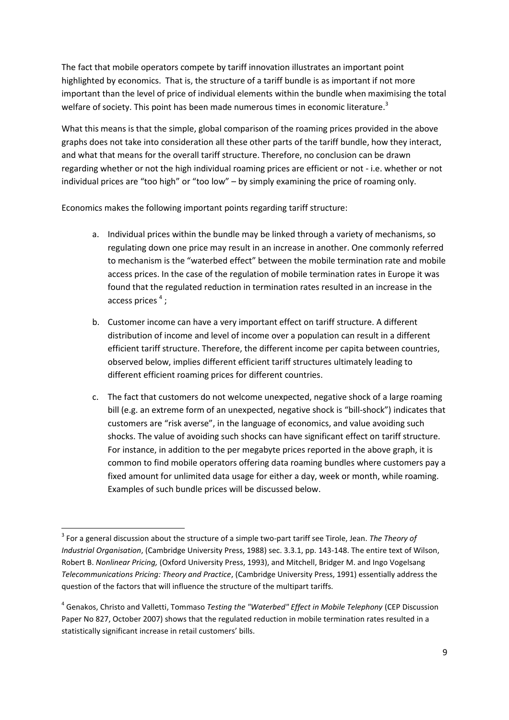The fact that mobile operators compete by tariff innovation illustrates an important point highlighted by economics. That is, the structure of a tariff bundle is as important if not more important than the level of price of individual elements within the bundle when maximising the total welfare of society. This point has been made numerous times in economic literature.<sup>3</sup>

What this means is that the simple, global comparison of the roaming prices provided in the above graphs does not take into consideration all these other parts of the tariff bundle, how they interact, and what that means for the overall tariff structure. Therefore, no conclusion can be drawn regarding whether or not the high individual roaming prices are efficient or not - i.e. whether or not individual prices are "too high" or "too low" – by simply examining the price of roaming only.

Economics makes the following important points regarding tariff structure:

- a. Individual prices within the bundle may be linked through a variety of mechanisms, so regulating down one price may result in an increase in another. One commonly referred to mechanism is the "waterbed effect" between the mobile termination rate and mobile access prices. In the case of the regulation of mobile termination rates in Europe it was found that the regulated reduction in termination rates resulted in an increase in the access prices<sup>4</sup>;
- b. Customer income can have a very important effect on tariff structure. A different distribution of income and level of income over a population can result in a different efficient tariff structure. Therefore, the different income per capita between countries, observed below, implies different efficient tariff structures ultimately leading to different efficient roaming prices for different countries.
- c. The fact that customers do not welcome unexpected, negative shock of a large roaming bill (e.g. an extreme form of an unexpected, negative shock is "bill-shock") indicates that customers are "risk averse", in the language of economics, and value avoiding such shocks. The value of avoiding such shocks can have significant effect on tariff structure. For instance, in addition to the per megabyte prices reported in the above graph, it is common to find mobile operators offering data roaming bundles where customers pay a fixed amount for unlimited data usage for either a day, week or month, while roaming. Examples of such bundle prices will be discussed below.

1

<sup>3</sup> For a general discussion about the structure of a simple two-part tariff see Tirole, Jean. *The Theory of Industrial Organisation*, (Cambridge University Press, 1988) sec. 3.3.1, pp. 143-148. The entire text of Wilson, Robert B. *Nonlinear Pricing,* (Oxford University Press, 1993), and Mitchell, Bridger M. and Ingo Vogelsang *Telecommunications Pricing: Theory and Practice*, (Cambridge University Press, 1991) essentially address the question of the factors that will influence the structure of the multipart tariffs.

<sup>4</sup> Genakos, Christo and Valletti, Tommaso *Testing the "Waterbed" Effect in Mobile Telephony* (CEP Discussion Paper No 827, October 2007) shows that the regulated reduction in mobile termination rates resulted in a statistically significant increase in retail customers' bills.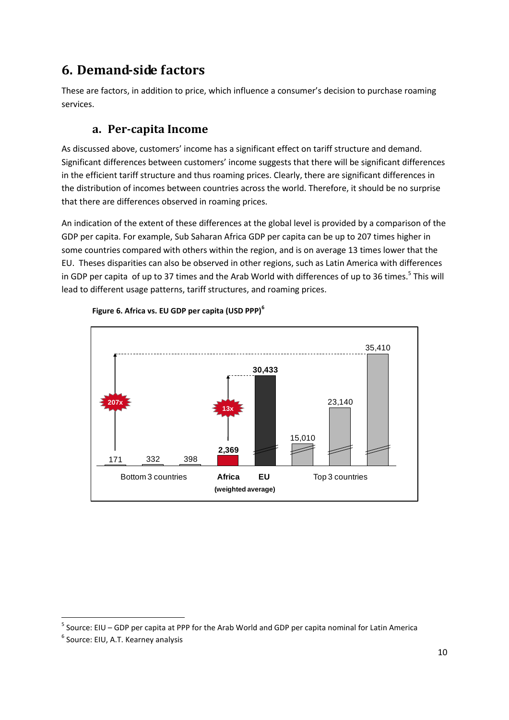## <span id="page-9-0"></span>**6. Demand-side factors**

These are factors, in addition to price, which influence a consumer's decision to purchase roaming services.

## **a. Per-capita Income**

<span id="page-9-1"></span>As discussed above, customers' income has a significant effect on tariff structure and demand. Significant differences between customers' income suggests that there will be significant differences in the efficient tariff structure and thus roaming prices. Clearly, there are significant differences in the distribution of incomes between countries across the world. Therefore, it should be no surprise that there are differences observed in roaming prices.

An indication of the extent of these differences at the global level is provided by a comparison of the GDP per capita. For example, Sub Saharan Africa GDP per capita can be up to 207 times higher in some countries compared with others within the region, and is on average 13 times lower that the EU. Theses disparities can also be observed in other regions, such as Latin America with differences in GDP per capita of up to 37 times and the Arab World with differences of up to 36 times.<sup>5</sup> This will lead to different usage patterns, tariff structures, and roaming prices.





 $\overline{a}$ 

<sup>&</sup>lt;sup>5</sup> Source: EIU – GDP per capita at PPP for the Arab World and GDP per capita nominal for Latin America

<sup>6</sup> Source: EIU, A.T. Kearney analysis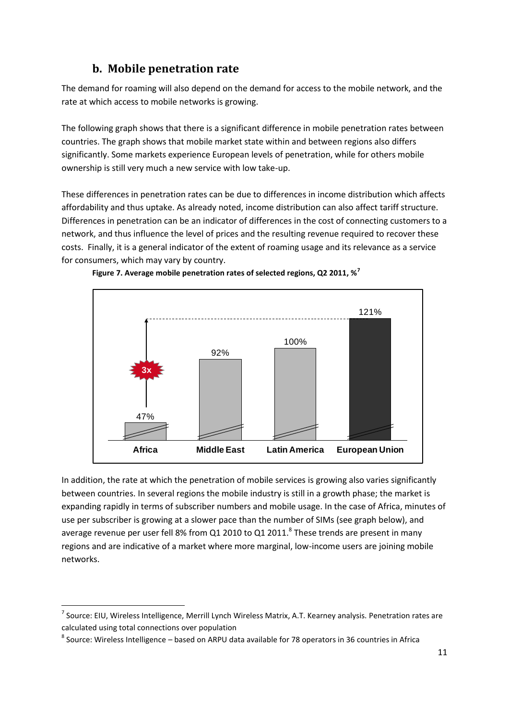### **b. Mobile penetration rate**

<span id="page-10-0"></span>The demand for roaming will also depend on the demand for access to the mobile network, and the rate at which access to mobile networks is growing.

The following graph shows that there is a significant difference in mobile penetration rates between countries. The graph shows that mobile market state within and between regions also differs significantly. Some markets experience European levels of penetration, while for others mobile ownership is still very much a new service with low take-up.

These differences in penetration rates can be due to differences in income distribution which affects affordability and thus uptake. As already noted, income distribution can also affect tariff structure. Differences in penetration can be an indicator of differences in the cost of connecting customers to a network, and thus influence the level of prices and the resulting revenue required to recover these costs. Finally, it is a general indicator of the extent of roaming usage and its relevance as a service for consumers, which may vary by country.





In addition, the rate at which the penetration of mobile services is growing also varies significantly between countries. In several regions the mobile industry is still in a growth phase; the market is expanding rapidly in terms of subscriber numbers and mobile usage. In the case of Africa, minutes of use per subscriber is growing at a slower pace than the number of SIMs (see graph below), and average revenue per user fell 8% from Q1 2010 to Q1 2011. $^8$  These trends are present in many regions and are indicative of a market where more marginal, low-income users are joining mobile networks.

<sup>&</sup>lt;sup>7</sup> Source: EIU, Wireless Intelligence, Merrill Lynch Wireless Matrix, A.T. Kearney analysis. Penetration rates are calculated using total connections over population

<sup>&</sup>lt;sup>8</sup> Source: Wireless Intelligence – based on ARPU data available for 78 operators in 36 countries in Africa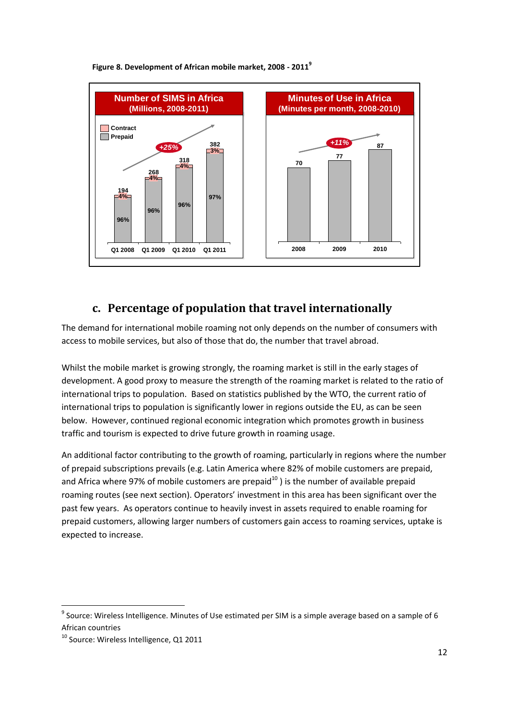

#### **Figure 8. Development of African mobile market, 2008 - 2011<sup>9</sup>**

### **c. Percentage of population that travel internationally**

<span id="page-11-0"></span>The demand for international mobile roaming not only depends on the number of consumers with access to mobile services, but also of those that do, the number that travel abroad.

Whilst the mobile market is growing strongly, the roaming market is still in the early stages of development. A good proxy to measure the strength of the roaming market is related to the ratio of international trips to population. Based on statistics published by the WTO, the current ratio of international trips to population is significantly lower in regions outside the EU, as can be seen below. However, continued regional economic integration which promotes growth in business traffic and tourism is expected to drive future growth in roaming usage.

An additional factor contributing to the growth of roaming, particularly in regions where the number of prepaid subscriptions prevails (e.g. Latin America where 82% of mobile customers are prepaid, and Africa where 97% of mobile customers are prepaid<sup>10</sup>) is the number of available prepaid roaming routes (see next section). Operators' investment in this area has been significant over the past few years. As operators continue to heavily invest in assets required to enable roaming for prepaid customers, allowing larger numbers of customers gain access to roaming services, uptake is expected to increase.

 $^9$  Source: Wireless Intelligence. Minutes of Use estimated per SIM is a simple average based on a sample of 6 African countries

<sup>&</sup>lt;sup>10</sup> Source: Wireless Intelligence, Q1 2011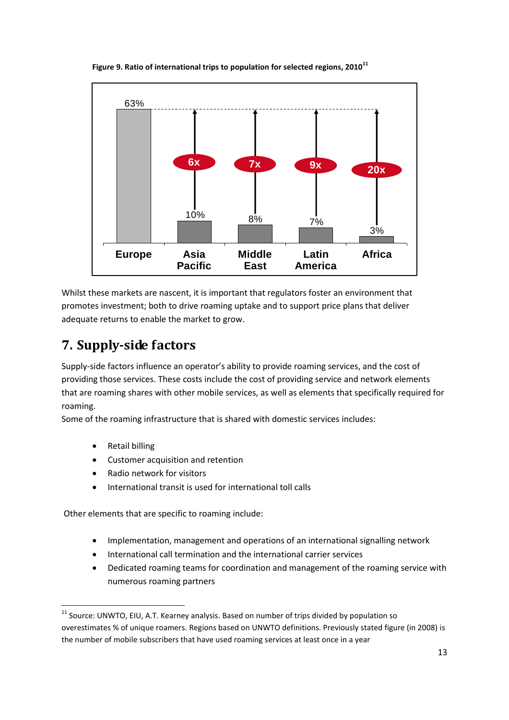

**Figure 9. Ratio of international trips to population for selected regions, 2010<sup>11</sup>**

Whilst these markets are nascent, it is important that regulators foster an environment that promotes investment; both to drive roaming uptake and to support price plans that deliver adequate returns to enable the market to grow.

## <span id="page-12-0"></span>**7. Supply-side factors**

Supply-side factors influence an operator's ability to provide roaming services, and the cost of providing those services. These costs include the cost of providing service and network elements that are roaming shares with other mobile services, as well as elements that specifically required for roaming.

Some of the roaming infrastructure that is shared with domestic services includes:

Retail billing

**.** 

- Customer acquisition and retention
- Radio network for visitors
- International transit is used for international toll calls

Other elements that are specific to roaming include:

- Implementation, management and operations of an international signalling network
- International call termination and the international carrier services
- Dedicated roaming teams for coordination and management of the roaming service with numerous roaming partners

 $11$  Source: UNWTO, EIU, A.T. Kearney analysis. Based on number of trips divided by population so overestimates % of unique roamers. Regions based on UNWTO definitions. Previously stated figure (in 2008) is the number of mobile subscribers that have used roaming services at least once in a year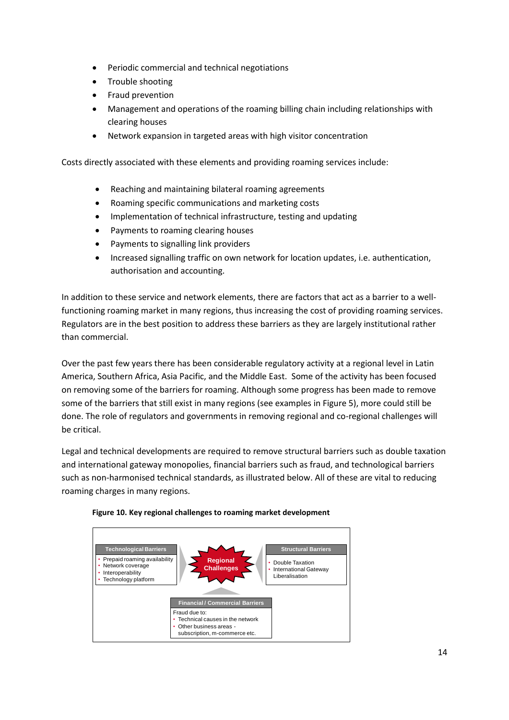- Periodic commercial and technical negotiations
- Trouble shooting
- Fraud prevention
- Management and operations of the roaming billing chain including relationships with clearing houses
- Network expansion in targeted areas with high visitor concentration

Costs directly associated with these elements and providing roaming services include:

- Reaching and maintaining bilateral roaming agreements
- Roaming specific communications and marketing costs
- Implementation of technical infrastructure, testing and updating
- Payments to roaming clearing houses
- Payments to signalling link providers
- Increased signalling traffic on own network for location updates, i.e. authentication, authorisation and accounting.

In addition to these service and network elements, there are factors that act as a barrier to a wellfunctioning roaming market in many regions, thus increasing the cost of providing roaming services. Regulators are in the best position to address these barriers as they are largely institutional rather than commercial.

Over the past few years there has been considerable regulatory activity at a regional level in Latin America, Southern Africa, Asia Pacific, and the Middle East. Some of the activity has been focused on removing some of the barriers for roaming. Although some progress has been made to remove some of the barriers that still exist in many regions (see examples in Figure 5), more could still be done. The role of regulators and governments in removing regional and co-regional challenges will be critical.

Legal and technical developments are required to remove structural barriers such as double taxation and international gateway monopolies, financial barriers such as fraud, and technological barriers such as non-harmonised technical standards, as illustrated below. All of these are vital to reducing roaming charges in many regions.



#### **Figure 10. Key regional challenges to roaming market development**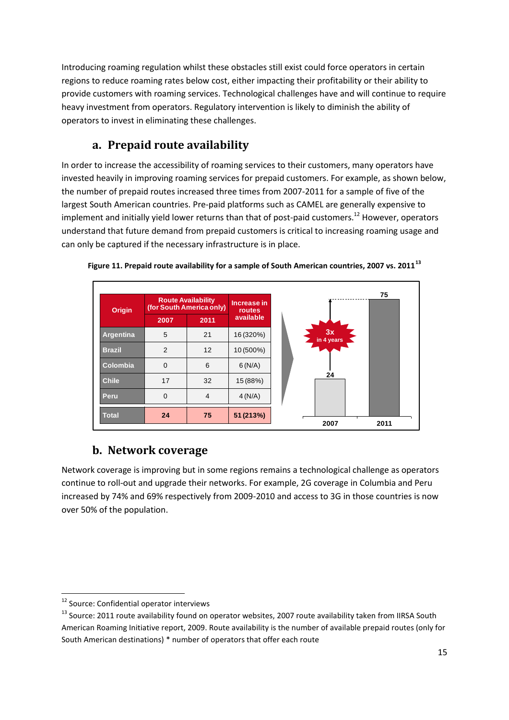Introducing roaming regulation whilst these obstacles still exist could force operators in certain regions to reduce roaming rates below cost, either impacting their profitability or their ability to provide customers with roaming services. Technological challenges have and will continue to require heavy investment from operators. Regulatory intervention is likely to diminish the ability of operators to invest in eliminating these challenges.

## **a. Prepaid route availability**

<span id="page-14-0"></span>In order to increase the accessibility of roaming services to their customers, many operators have invested heavily in improving roaming services for prepaid customers. For example, as shown below, the number of prepaid routes increased three times from 2007-2011 for a sample of five of the largest South American countries. Pre-paid platforms such as CAMEL are generally expensive to implement and initially yield lower returns than that of post-paid customers.<sup>12</sup> However, operators understand that future demand from prepaid customers is critical to increasing roaming usage and can only be captured if the necessary infrastructure is in place.





### **b. Network coverage**

<span id="page-14-1"></span>Network coverage is improving but in some regions remains a technological challenge as operators continue to roll-out and upgrade their networks. For example, 2G coverage in Columbia and Peru increased by 74% and 69% respectively from 2009-2010 and access to 3G in those countries is now over 50% of the population.

 $\overline{a}$ 

<sup>&</sup>lt;sup>12</sup> Source: Confidential operator interviews

<sup>&</sup>lt;sup>13</sup> Source: 2011 route availability found on operator websites, 2007 route availability taken from IIRSA South American Roaming Initiative report, 2009. Route availability is the number of available prepaid routes (only for South American destinations) \* number of operators that offer each route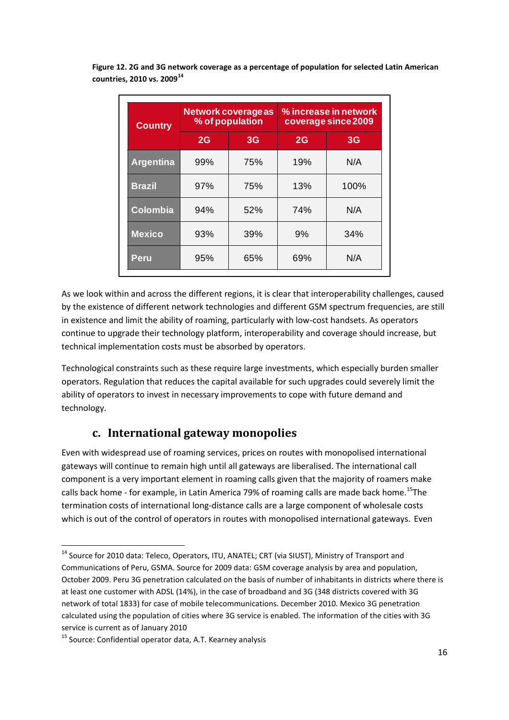| <b>Country</b>   | Network coverage as<br>% of population |                | % increase in network<br>coverage since 2009 |      |
|------------------|----------------------------------------|----------------|----------------------------------------------|------|
|                  | 2G                                     | 3 <sub>G</sub> | 2G                                           | 3G   |
| <b>Argentina</b> | 99%                                    | 75%            | 19%                                          | N/A  |
| <b>Brazil</b>    | 97%                                    | 75%            | 13%                                          | 100% |
| <b>Colombia</b>  | 94%                                    | 52%            | 74%                                          | N/A  |
| <b>Mexico</b>    | 93%                                    | 39%            | 9%                                           | 34%  |
| Peru             | 95%                                    | 65%            | 69%                                          | N/A  |

**Figure 12. 2G and 3G network coverage as a percentage of population for selected Latin American countries, 2010 vs. 2009<sup>14</sup>**

As we look within and across the different regions, it is clear that interoperability challenges, caused by the existence of different network technologies and different GSM spectrum frequencies, are still in existence and limit the ability of roaming, particularly with low-cost handsets. As operators continue to upgrade their technology platform, interoperability and coverage should increase, but technical implementation costs must be absorbed by operators.

Technological constraints such as these require large investments, which especially burden smaller operators. Regulation that reduces the capital available for such upgrades could severely limit the ability of operators to invest in necessary improvements to cope with future demand and technology.

### **c. International gateway monopolies**

<span id="page-15-0"></span>Even with widespread use of roaming services, prices on routes with monopolised international gateways will continue to remain high until all gateways are liberalised. The international call component is a very important element in roaming calls given that the majority of roamers make calls back home - for example, in Latin America 79% of roaming calls are made back home.<sup>15</sup>The termination costs of international long-distance calls are a large component of wholesale costs which is out of the control of operators in routes with monopolised international gateways. Even

<sup>&</sup>lt;sup>14</sup> Source for 2010 data: Teleco, Operators, ITU, ANATEL; CRT (via SIUST), Ministry of Transport and Communications of Peru, GSMA. Source for 2009 data: GSM coverage analysis by area and population, October 2009. Peru 3G penetration calculated on the basis of number of inhabitants in districts where there is at least one customer with ADSL (14%), in the case of broadband and 3G (348 districts covered with 3G network of total 1833) for case of mobile telecommunications. December 2010. Mexico 3G penetration calculated using the population of cities where 3G service is enabled. The information of the cities with 3G service is current as of January 2010

<sup>&</sup>lt;sup>15</sup> Source: Confidential operator data, A.T. Kearney analysis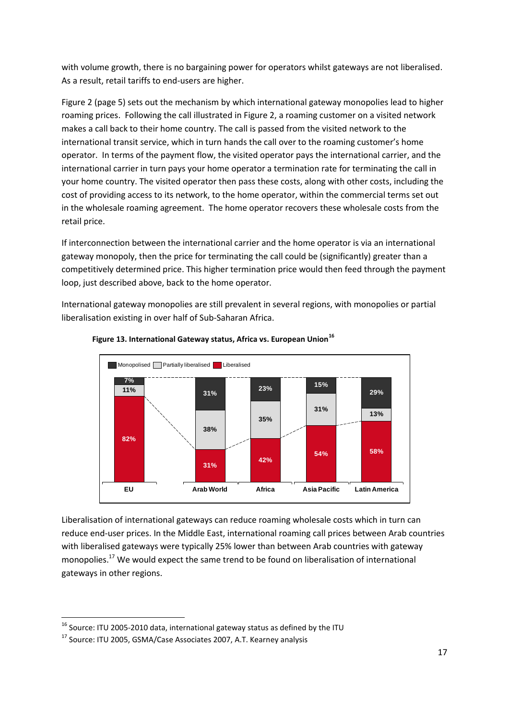with volume growth, there is no bargaining power for operators whilst gateways are not liberalised. As a result, retail tariffs to end-users are higher.

Figure 2 (page 5) sets out the mechanism by which international gateway monopolies lead to higher roaming prices. Following the call illustrated in Figure 2, a roaming customer on a visited network makes a call back to their home country. The call is passed from the visited network to the international transit service, which in turn hands the call over to the roaming customer's home operator. In terms of the payment flow, the visited operator pays the international carrier, and the international carrier in turn pays your home operator a termination rate for terminating the call in your home country. The visited operator then pass these costs, along with other costs, including the cost of providing access to its network, to the home operator, within the commercial terms set out in the wholesale roaming agreement. The home operator recovers these wholesale costs from the retail price.

If interconnection between the international carrier and the home operator is via an international gateway monopoly, then the price for terminating the call could be (significantly) greater than a competitively determined price. This higher termination price would then feed through the payment loop, just described above, back to the home operator.

International gateway monopolies are still prevalent in several regions, with monopolies or partial liberalisation existing in over half of Sub-Saharan Africa.



#### **Figure 13. International Gateway status, Africa vs. European Union<sup>16</sup>**

Liberalisation of international gateways can reduce roaming wholesale costs which in turn can reduce end-user prices. In the Middle East, international roaming call prices between Arab countries with liberalised gateways were typically 25% lower than between Arab countries with gateway monopolies.<sup>17</sup> We would expect the same trend to be found on liberalisation of international gateways in other regions.

 $\overline{a}$ 

 $^{16}$  Source: ITU 2005-2010 data, international gateway status as defined by the ITU

<sup>&</sup>lt;sup>17</sup> Source: ITU 2005, GSMA/Case Associates 2007, A.T. Kearney analysis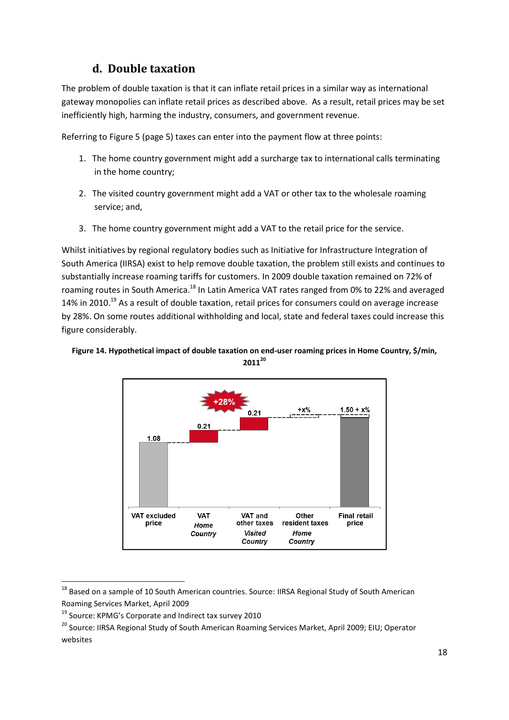### **d. Double taxation**

<span id="page-17-0"></span>The problem of double taxation is that it can inflate retail prices in a similar way as international gateway monopolies can inflate retail prices as described above. As a result, retail prices may be set inefficiently high, harming the industry, consumers, and government revenue.

Referring to Figure 5 (page 5) taxes can enter into the payment flow at three points:

- 1. The home country government might add a surcharge tax to international calls terminating in the home country;
- 2. The visited country government might add a VAT or other tax to the wholesale roaming service; and,
- 3. The home country government might add a VAT to the retail price for the service.

Whilst initiatives by regional regulatory bodies such as Initiative for Infrastructure Integration of South America (IIRSA) exist to help remove double taxation, the problem still exists and continues to substantially increase roaming tariffs for customers. In 2009 double taxation remained on 72% of roaming routes in South America.<sup>18</sup> In Latin America VAT rates ranged from 0% to 22% and averaged 14% in 2010.<sup>19</sup> As a result of double taxation, retail prices for consumers could on average increase by 28%. On some routes additional withholding and local, state and federal taxes could increase this figure considerably.



**Figure 14. Hypothetical impact of double taxation on end-user roaming prices in Home Country, \$/min, 2011<sup>20</sup>**

 $^{18}$  Based on a sample of 10 South American countries. Source: IIRSA Regional Study of South American Roaming Services Market, April 2009

<sup>19</sup> Source: KPMG's Corporate and Indirect tax survey 2010

<sup>&</sup>lt;sup>20</sup> Source: IIRSA Regional Study of South American Roaming Services Market, April 2009; EIU; Operator websites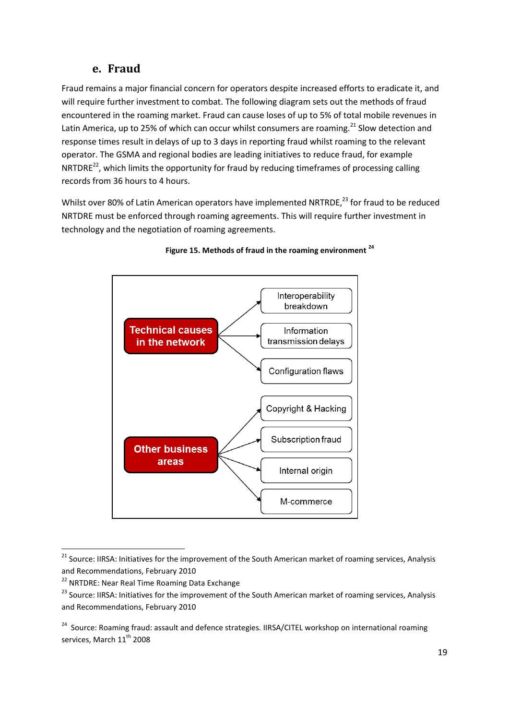### **e. Fraud**

<span id="page-18-0"></span>Fraud remains a major financial concern for operators despite increased efforts to eradicate it, and will require further investment to combat. The following diagram sets out the methods of fraud encountered in the roaming market. Fraud can cause loses of up to 5% of total mobile revenues in Latin America, up to 25% of which can occur whilst consumers are roaming.<sup>21</sup> Slow detection and response times result in delays of up to 3 days in reporting fraud whilst roaming to the relevant operator. The GSMA and regional bodies are leading initiatives to reduce fraud, for example NRTDRE<sup>22</sup>, which limits the opportunity for fraud by reducing timeframes of processing calling records from 36 hours to 4 hours.

Whilst over 80% of Latin American operators have implemented NRTRDE,<sup>23</sup> for fraud to be reduced NRTDRE must be enforced through roaming agreements. This will require further investment in technology and the negotiation of roaming agreements.





 $\overline{a}$ 

<sup>&</sup>lt;sup>21</sup> Source: IIRSA: Initiatives for the improvement of the South American market of roaming services, Analysis and Recommendations, February 2010

<sup>&</sup>lt;sup>22</sup> NRTDRE: Near Real Time Roaming Data Exchange

<sup>&</sup>lt;sup>23</sup> Source: IIRSA: Initiatives for the improvement of the South American market of roaming services, Analysis and Recommendations, February 2010

<sup>&</sup>lt;sup>24</sup> Source: Roaming fraud: assault and defence strategies. IIRSA/CITEL workshop on international roaming services, March 11<sup>th</sup> 2008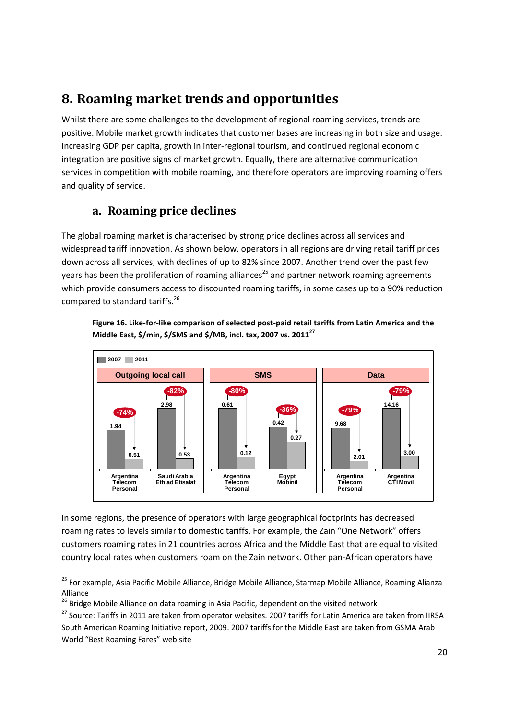## <span id="page-19-0"></span>**8. Roaming market trends and opportunities**

Whilst there are some challenges to the development of regional roaming services, trends are positive. Mobile market growth indicates that customer bases are increasing in both size and usage. Increasing GDP per capita, growth in inter-regional tourism, and continued regional economic integration are positive signs of market growth. Equally, there are alternative communication services in competition with mobile roaming, and therefore operators are improving roaming offers and quality of service.

### **a. Roaming price declines**

<span id="page-19-1"></span>The global roaming market is characterised by strong price declines across all services and widespread tariff innovation. As shown below, operators in all regions are driving retail tariff prices down across all services, with declines of up to 82% since 2007. Another trend over the past few years has been the proliferation of roaming alliances<sup>25</sup> and partner network roaming agreements which provide consumers access to discounted roaming tariffs, in some cases up to a 90% reduction compared to standard tariffs.<sup>26</sup>

**Figure 16. Like-for-like comparison of selected post-paid retail tariffs from Latin America and the Middle East, \$/min, \$/SMS and \$/MB, incl. tax, 2007 vs. 2011<sup>27</sup>**



In some regions, the presence of operators with large geographical footprints has decreased roaming rates to levels similar to domestic tariffs. For example, the Zain "One Network" offers customers roaming rates in 21 countries across Africa and the Middle East that are equal to visited country local rates when customers roam on the Zain network. Other pan-African operators have

 $\overline{a}$ 

<sup>&</sup>lt;sup>25</sup> For example, Asia Pacific Mobile Alliance, Bridge Mobile Alliance, Starmap Mobile Alliance, Roaming Alianza Alliance

<sup>&</sup>lt;sup>26</sup> Bridge Mobile Alliance on data roaming in Asia Pacific, dependent on the visited network

<sup>&</sup>lt;sup>27</sup> Source: Tariffs in 2011 are taken from operator websites. 2007 tariffs for Latin America are taken from IIRSA South American Roaming Initiative report, 2009. 2007 tariffs for the Middle East are taken from GSMA Arab World "Best Roaming Fares" web site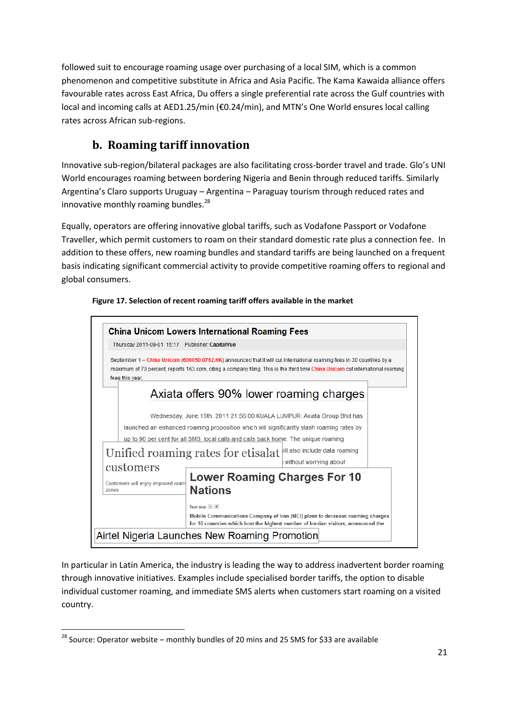followed suit to encourage roaming usage over purchasing of a local SIM, which is a common phenomenon and competitive substitute in Africa and Asia Pacific. The Kama Kawaida alliance offers favourable rates across East Africa, Du offers a single preferential rate across the Gulf countries with local and incoming calls at AED1.25/min (€0.24/min), and MTN's One World ensures local calling rates across African sub-regions.

## **b. Roaming tariff innovation**

<span id="page-20-0"></span>Innovative sub-region/bilateral packages are also facilitating cross-border travel and trade. Glo's UNI World encourages roaming between bordering Nigeria and Benin through reduced tariffs. Similarly Argentina's Claro supports Uruguay – Argentina – Paraguay tourism through reduced rates and innovative monthly roaming bundles. $^{28}$ 

Equally, operators are offering innovative global tariffs, such as Vodafone Passport or Vodafone Traveller, which permit customers to roam on their standard domestic rate plus a connection fee. In addition to these offers, new roaming bundles and standard tariffs are being launched on a frequent basis indicating significant commercial activity to provide competitive roaming offers to regional and global consumers.



**Figure 17. Selection of recent roaming tariff offers available in the market**

In particular in Latin America, the industry is leading the way to address inadvertent border roaming through innovative initiatives. Examples include specialised border tariffs, the option to disable individual customer roaming, and immediate SMS alerts when customers start roaming on a visited country.

 $^{28}$  Source: Operator website – monthly bundles of 20 mins and 25 SMS for \$33 are available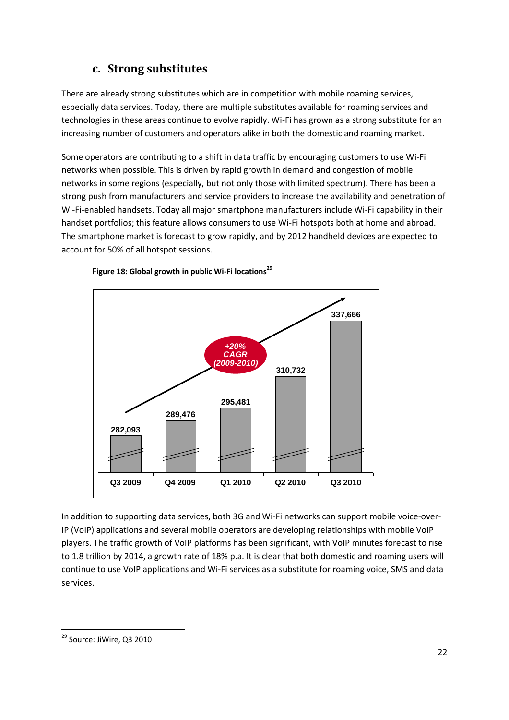## **c. Strong substitutes**

<span id="page-21-0"></span>There are already strong substitutes which are in competition with mobile roaming services, especially data services. Today, there are multiple substitutes available for roaming services and technologies in these areas continue to evolve rapidly. Wi-Fi has grown as a strong substitute for an increasing number of customers and operators alike in both the domestic and roaming market.

Some operators are contributing to a shift in data traffic by encouraging customers to use Wi-Fi networks when possible. This is driven by rapid growth in demand and congestion of mobile networks in some regions (especially, but not only those with limited spectrum). There has been a strong push from manufacturers and service providers to increase the availability and penetration of Wi-Fi-enabled handsets. Today all major smartphone manufacturers include Wi-Fi capability in their handset portfolios; this feature allows consumers to use Wi-Fi hotspots both at home and abroad. The smartphone market is forecast to grow rapidly, and by 2012 handheld devices are expected to account for 50% of all hotspot sessions.



#### F**igure 18: Global growth in public Wi-Fi locations<sup>29</sup>**

In addition to supporting data services, both 3G and Wi-Fi networks can support mobile voice-over-IP (VoIP) applications and several mobile operators are developing relationships with mobile VoIP players. The traffic growth of VoIP platforms has been significant, with VoIP minutes forecast to rise to 1.8 trillion by 2014, a growth rate of 18% p.a. It is clear that both domestic and roaming users will continue to use VoIP applications and Wi-Fi services as a substitute for roaming voice, SMS and data services.

<sup>&</sup>lt;sup>29</sup> Source: JiWire, Q3 2010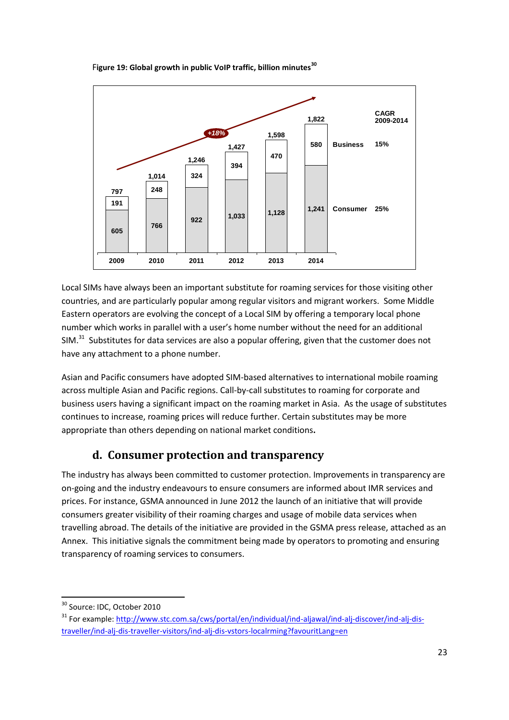



Local SIMs have always been an important substitute for roaming services for those visiting other countries, and are particularly popular among regular visitors and migrant workers. Some Middle Eastern operators are evolving the concept of a Local SIM by offering a temporary local phone number which works in parallel with a user's home number without the need for an additional SIM. $31$  Substitutes for data services are also a popular offering, given that the customer does not have any attachment to a phone number.

Asian and Pacific consumers have adopted SIM-based alternatives to international mobile roaming across multiple Asian and Pacific regions. Call-by-call substitutes to roaming for corporate and business users having a significant impact on the roaming market in Asia. As the usage of substitutes continues to increase, roaming prices will reduce further. Certain substitutes may be more appropriate than others depending on national market conditions**.**

## **d. Consumer protection and transparency**

<span id="page-22-0"></span>The industry has always been committed to customer protection. Improvements in transparency are on-going and the industry endeavours to ensure consumers are informed about IMR services and prices. For instance, GSMA announced in June 2012 the launch of an initiative that will provide consumers greater visibility of their roaming charges and usage of mobile data services when travelling abroad. The details of the initiative are provided in the GSMA press release, attached as an Annex. This initiative signals the commitment being made by operators to promoting and ensuring transparency of roaming services to consumers.

<sup>1</sup> <sup>30</sup> Source: IDC, October 2010

<sup>&</sup>lt;sup>31</sup> For example: [http://www.stc.com.sa/cws/portal/en/individual/ind-aljawal/ind-alj-discover/ind-alj-dis](http://www.stc.com.sa/cws/portal/en/individual/ind-aljawal/ind-alj-discover/ind-alj-dis-traveller/ind-alj-dis-traveller-visitors/ind-alj-dis-vstors-localrming?favouritLang=en)[traveller/ind-alj-dis-traveller-visitors/ind-alj-dis-vstors-localrming?favouritLang=en](http://www.stc.com.sa/cws/portal/en/individual/ind-aljawal/ind-alj-discover/ind-alj-dis-traveller/ind-alj-dis-traveller-visitors/ind-alj-dis-vstors-localrming?favouritLang=en)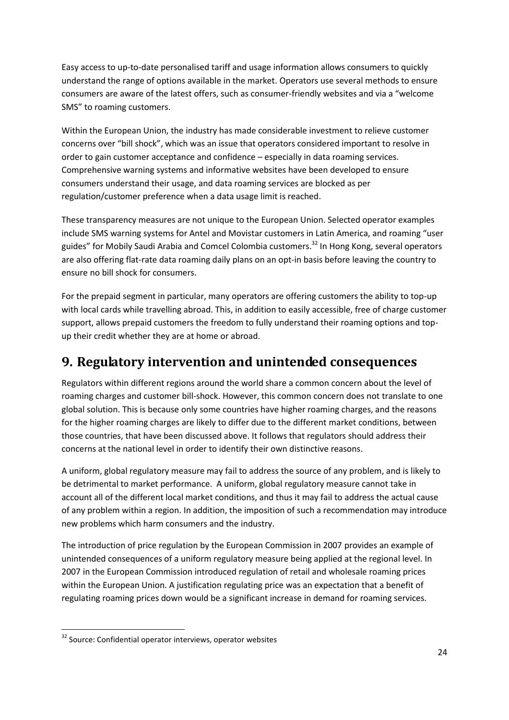Easy access to up-to-date personalised tariff and usage information allows consumers to quickly understand the range of options available in the market. Operators use several methods to ensure consumers are aware of the latest offers, such as consumer-friendly websites and via a "welcome SMS" to roaming customers.

Within the European Union, the industry has made considerable investment to relieve customer concerns over "bill shock", which was an issue that operators considered important to resolve in order to gain customer acceptance and confidence – especially in data roaming services. Comprehensive warning systems and informative websites have been developed to ensure consumers understand their usage, and data roaming services are blocked as per regulation/customer preference when a data usage limit is reached.

These transparency measures are not unique to the European Union. Selected operator examples include SMS warning systems for Antel and Movistar customers in Latin America, and roaming "user guides" for Mobily Saudi Arabia and Comcel Colombia customers.<sup>32</sup> In Hong Kong, several operators are also offering flat-rate data roaming daily plans on an opt-in basis before leaving the country to ensure no bill shock for consumers.

For the prepaid segment in particular, many operators are offering customers the ability to top-up with local cards while travelling abroad. This, in addition to easily accessible, free of charge customer support, allows prepaid customers the freedom to fully understand their roaming options and topup their credit whether they are at home or abroad.

## <span id="page-23-0"></span>**9. Regulatory intervention and unintended consequences**

Regulators within different regions around the world share a common concern about the level of roaming charges and customer bill-shock. However, this common concern does not translate to one global solution. This is because only some countries have higher roaming charges, and the reasons for the higher roaming charges are likely to differ due to the different market conditions, between those countries, that have been discussed above. It follows that regulators should address their concerns at the national level in order to identify their own distinctive reasons.

A uniform, global regulatory measure may fail to address the source of any problem, and is likely to be detrimental to market performance. A uniform, global regulatory measure cannot take in account all of the different local market conditions, and thus it may fail to address the actual cause of any problem within a region. In addition, the imposition of such a recommendation may introduce new problems which harm consumers and the industry.

The introduction of price regulation by the European Commission in 2007 provides an example of unintended consequences of a uniform regulatory measure being applied at the regional level. In 2007 in the European Commission introduced regulation of retail and wholesale roaming prices within the European Union. A justification regulating price was an expectation that a benefit of regulating roaming prices down would be a significant increase in demand for roaming services.

<sup>&</sup>lt;sup>32</sup> Source: Confidential operator interviews, operator websites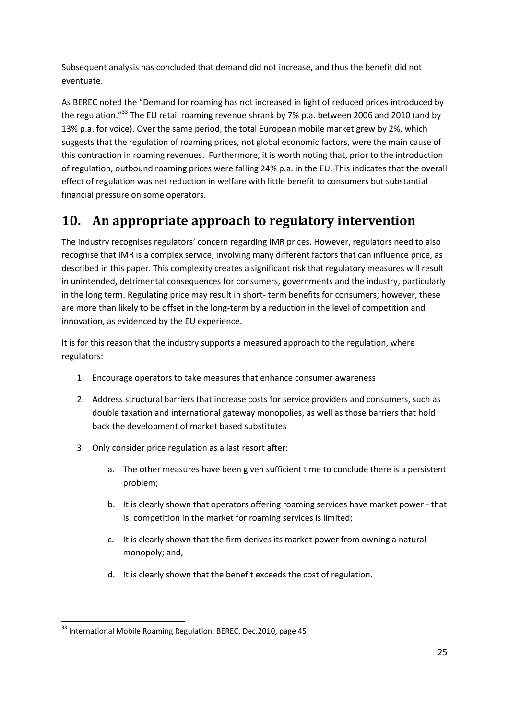Subsequent analysis has concluded that demand did not increase, and thus the benefit did not eventuate.

As BEREC noted the "Demand for roaming has not increased in light of reduced prices introduced by the regulation."<sup>33</sup> The EU retail roaming revenue shrank by 7% p.a. between 2006 and 2010 (and by 13% p.a. for voice). Over the same period, the total European mobile market grew by 2%, which suggests that the regulation of roaming prices, not global economic factors, were the main cause of this contraction in roaming revenues. Furthermore, it is worth noting that, prior to the introduction of regulation, outbound roaming prices were falling 24% p.a. in the EU. This indicates that the overall effect of regulation was net reduction in welfare with little benefit to consumers but substantial financial pressure on some operators.

## <span id="page-24-0"></span>**10. An appropriate approach to regulatory intervention**

The industry recognises regulators' concern regarding IMR prices. However, regulators need to also recognise that IMR is a complex service, involving many different factors that can influence price, as described in this paper. This complexity creates a significant risk that regulatory measures will result in unintended, detrimental consequences for consumers, governments and the industry, particularly in the long term. Regulating price may result in short- term benefits for consumers; however, these are more than likely to be offset in the long-term by a reduction in the level of competition and innovation, as evidenced by the EU experience.

It is for this reason that the industry supports a measured approach to the regulation, where regulators:

- 1. Encourage operators to take measures that enhance consumer awareness
- 2. Address structural barriers that increase costs for service providers and consumers, such as double taxation and international gateway monopolies, as well as those barriers that hold back the development of market based substitutes
- 3. Only consider price regulation as a last resort after:
	- a. The other measures have been given sufficient time to conclude there is a persistent problem;
	- b. It is clearly shown that operators offering roaming services have market power that is, competition in the market for roaming services is limited;
	- c. It is clearly shown that the firm derives its market power from owning a natural monopoly; and,
	- d. It is clearly shown that the benefit exceeds the cost of regulation.

<sup>1</sup> <sup>33</sup> International Mobile Roaming Regulation, BEREC, Dec.2010, page 45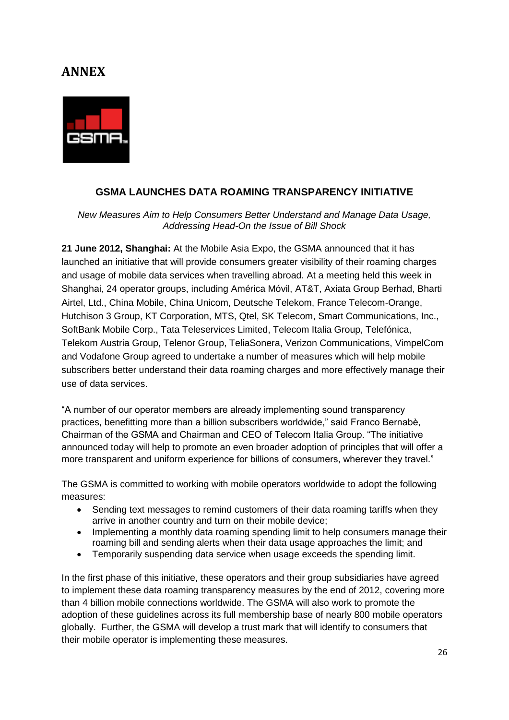## <span id="page-25-0"></span>**ANNEX**



### **GSMA LAUNCHES DATA ROAMING TRANSPARENCY INITIATIVE**

*New Measures Aim to Help Consumers Better Understand and Manage Data Usage, Addressing Head-On the Issue of Bill Shock* 

**21 June 2012, Shanghai:** At the Mobile Asia Expo, the GSMA announced that it has launched an initiative that will provide consumers greater visibility of their roaming charges and usage of mobile data services when travelling abroad. At a meeting held this week in Shanghai, 24 operator groups, including América Móvil, AT&T, Axiata Group Berhad, Bharti Airtel, Ltd., China Mobile, China Unicom, Deutsche Telekom, France Telecom-Orange, Hutchison 3 Group, KT Corporation, MTS, Qtel, SK Telecom, Smart Communications, Inc., SoftBank Mobile Corp., Tata Teleservices Limited, Telecom Italia Group, Telefónica, Telekom Austria Group, Telenor Group, TeliaSonera, Verizon Communications, VimpelCom and Vodafone Group agreed to undertake a number of measures which will help mobile subscribers better understand their data roaming charges and more effectively manage their use of data services.

"A number of our operator members are already implementing sound transparency practices, benefitting more than a billion subscribers worldwide," said Franco Bernabè, Chairman of the GSMA and Chairman and CEO of Telecom Italia Group. "The initiative announced today will help to promote an even broader adoption of principles that will offer a more transparent and uniform experience for billions of consumers, wherever they travel."

The GSMA is committed to working with mobile operators worldwide to adopt the following measures:

- Sending text messages to remind customers of their data roaming tariffs when they arrive in another country and turn on their mobile device;
- Implementing a monthly data roaming spending limit to help consumers manage their roaming bill and sending alerts when their data usage approaches the limit; and
- Temporarily suspending data service when usage exceeds the spending limit.

In the first phase of this initiative, these operators and their group subsidiaries have agreed to implement these data roaming transparency measures by the end of 2012, covering more than 4 billion mobile connections worldwide. The GSMA will also work to promote the adoption of these guidelines across its full membership base of nearly 800 mobile operators globally. Further, the GSMA will develop a trust mark that will identify to consumers that their mobile operator is implementing these measures.